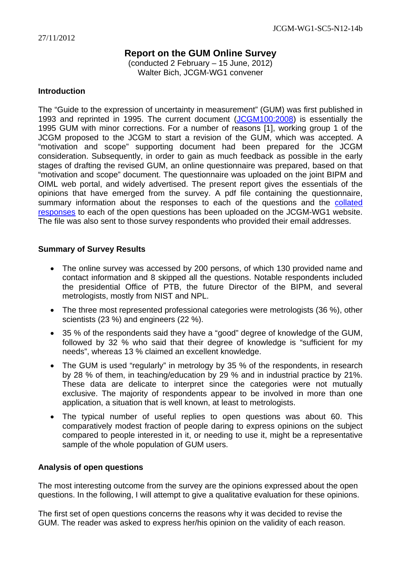# **Report on the GUM Online Survey**

(conducted 2 February – 15 June, 2012) Walter Bich, JCGM-WG1 convener

## **Introduction**

The "Guide to the expression of uncertainty in measurement" (GUM) was first published in 1993 and reprinted in 1995. The current document ([JCGM100:2008\)](http://www.bipm.org/utils/common/documents/jcgm/JCGM_100_2008_E.pdf) is essentially the 1995 GUM with minor corrections. For a number of reasons [1], working group 1 of the JCGM proposed to the JCGM to start a revision of the GUM, which was accepted. A "motivation and scope" supporting document had been prepared for the JCGM consideration. Subsequently, in order to gain as much feedback as possible in the early stages of drafting the revised GUM, an online questionnaire was prepared, based on that "motivation and scope" document. The questionnaire was uploaded on the joint BIPM and OIML web portal, and widely advertised. The present report gives the essentials of the opinions that have emerged from the survey. A pdf file containing the questionnaire, summary information about the responses to each of the questions and the collated [responses](http://www.bipm.org/wg/JCGM/JCGM-WG1/Allowed/sub-committee_5/WG1-SC5-N12-15_JCGM_GUM_Survey_Collated_responses.pdf) to each of the open questions has been uploaded on the JCGM-WG1 website. The file was also sent to those survey respondents who provided their email addresses.

# **Summary of Survey Results**

- The online survey was accessed by 200 persons, of which 130 provided name and contact information and 8 skipped all the questions. Notable respondents included the presidential Office of PTB, the future Director of the BIPM, and several metrologists, mostly from NIST and NPL.
- The three most represented professional categories were metrologists (36 %), other scientists (23 %) and engineers (22 %).
- 35 % of the respondents said they have a "good" degree of knowledge of the GUM, followed by 32 % who said that their degree of knowledge is "sufficient for my needs", whereas 13 % claimed an excellent knowledge.
- The GUM is used "regularly" in metrology by 35 % of the respondents, in research by 28 % of them, in teaching/education by 29 % and in industrial practice by 21%. These data are delicate to interpret since the categories were not mutually exclusive. The majority of respondents appear to be involved in more than one application, a situation that is well known, at least to metrologists.
- The typical number of useful replies to open questions was about 60. This comparatively modest fraction of people daring to express opinions on the subject compared to people interested in it, or needing to use it, might be a representative sample of the whole population of GUM users.

# **Analysis of open questions**

The most interesting outcome from the survey are the opinions expressed about the open questions. In the following, I will attempt to give a qualitative evaluation for these opinions.

The first set of open questions concerns the reasons why it was decided to revise the GUM. The reader was asked to express her/his opinion on the validity of each reason.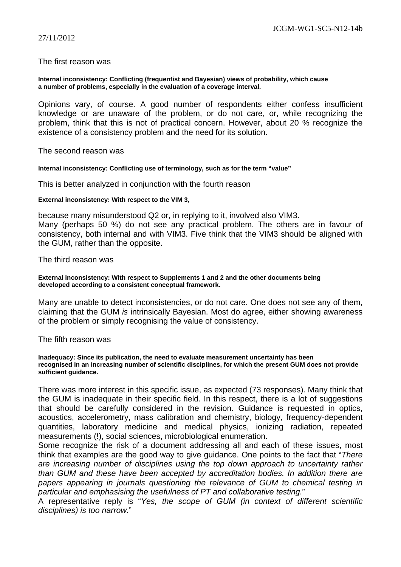### The first reason was

#### **Internal inconsistency: Conflicting (frequentist and Bayesian) views of probability, which cause a number of problems, especially in the evaluation of a coverage interval.**

Opinions vary, of course. A good number of respondents either confess insufficient knowledge or are unaware of the problem, or do not care, or, while recognizing the problem, think that this is not of practical concern. However, about 20 % recognize the existence of a consistency problem and the need for its solution.

The second reason was

**Internal inconsistency: Conflicting use of terminology, such as for the term "value"** 

This is better analyzed in conjunction with the fourth reason

#### **External inconsistency: With respect to the VIM 3,**

because many misunderstood Q2 or, in replying to it, involved also VIM3.

Many (perhaps 50 %) do not see any practical problem. The others are in favour of consistency, both internal and with VIM3. Five think that the VIM3 should be aligned with the GUM, rather than the opposite.

### The third reason was

#### **External inconsistency: With respect to Supplements 1 and 2 and the other documents being developed according to a consistent conceptual framework.**

Many are unable to detect inconsistencies, or do not care. One does not see any of them, claiming that the GUM *is* intrinsically Bayesian. Most do agree, either showing awareness of the problem or simply recognising the value of consistency.

### The fifth reason was

**Inadequacy: Since its publication, the need to evaluate measurement uncertainty has been recognised in an increasing number of scientific disciplines, for which the present GUM does not provide sufficient guidance.**

There was more interest in this specific issue, as expected (73 responses). Many think that the GUM is inadequate in their specific field. In this respect, there is a lot of suggestions that should be carefully considered in the revision. Guidance is requested in optics, acoustics, accelerometry, mass calibration and chemistry, biology, frequency-dependent quantities, laboratory medicine and medical physics, ionizing radiation, repeated measurements (!), social sciences, microbiological enumeration.

Some recognize the risk of a document addressing all and each of these issues, most think that examples are the good way to give guidance. One points to the fact that "*There are increasing number of disciplines using the top down approach to uncertainty rather than GUM and these have been accepted by accreditation bodies. In addition there are*  papers appearing in journals questioning the relevance of GUM to chemical testing in *particular and emphasising the usefulness of PT and collaborative testing.*"

A representative reply is "*Yes, the scope of GUM (in context of different scientific disciplines) is too narrow.*"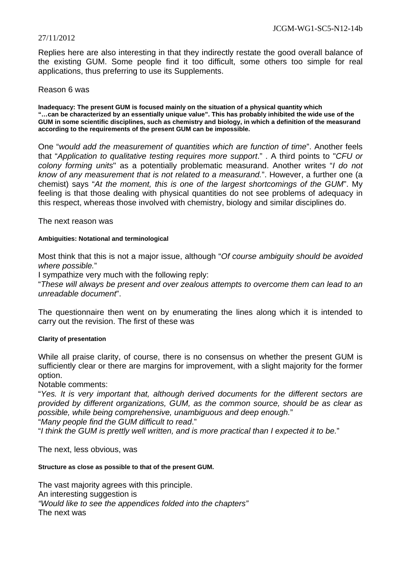Replies here are also interesting in that they indirectly restate the good overall balance of the existing GUM. Some people find it too difficult, some others too simple for real applications, thus preferring to use its Supplements.

### Reason 6 was

**Inadequacy: The present GUM is focused mainly on the situation of a physical quantity which "…can be characterized by an essentially unique value". This has probably inhibited the wide use of the GUM in some scientific disciplines, such as chemistry and biology, in which a definition of the measurand according to the requirements of the present GUM can be impossible.**

One "*would add the measurement of quantities which are function of time*". Another feels that "*Application to qualitative testing requires more support*." . A third points to "*CFU or colony forming units*" as a potentially problematic measurand. Another writes "*I do not know of any measurement that is not related to a measurand.*". However, a further one (a chemist) says "*At the moment, this is one of the largest shortcomings of the GUM*". My feeling is that those dealing with physical quantities do not see problems of adequacy in this respect, whereas those involved with chemistry, biology and similar disciplines do.

### The next reason was

### **Ambiguities: Notational and terminological**

Most think that this is not a major issue, although "*Of course ambiguity should be avoided where possible.*"

I sympathize very much with the following reply:

"*These will always be present and over zealous attempts to overcome them can lead to an unreadable document*".

The questionnaire then went on by enumerating the lines along which it is intended to carry out the revision. The first of these was

### **Clarity of presentation**

While all praise clarity, of course, there is no consensus on whether the present GUM is sufficiently clear or there are margins for improvement, with a slight majority for the former option.

### Notable comments:

"*Yes. It is very important that, although derived documents for the different sectors are provided by different organizations, GUM, as the common source, should be as clear as possible, while being comprehensive, unambiguous and deep enough.*"

"*Many people find the GUM difficult to read*."

"*I think the GUM is prettly well written, and is more practical than I expected it to be.*"

The next, less obvious, was

#### **Structure as close as possible to that of the present GUM.**

The vast majority agrees with this principle. An interesting suggestion is *"Would like to see the appendices folded into the chapters"*  The next was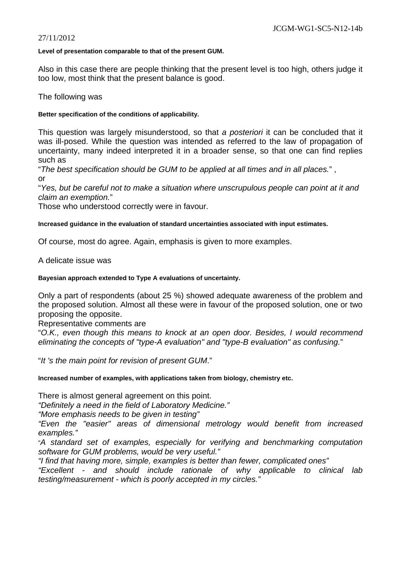#### **Level of presentation comparable to that of the present GUM.**

Also in this case there are people thinking that the present level is too high, others judge it too low, most think that the present balance is good.

The following was

### **Better specification of the conditions of applicability.**

This question was largely misunderstood, so that *a posteriori* it can be concluded that it was ill-posed. While the question was intended as referred to the law of propagation of uncertainty, many indeed interpreted it in a broader sense, so that one can find replies such as

"*The best specification should be GUM to be applied at all times and in all places.*" , or

"*Yes, but be careful not to make a situation where unscrupulous people can point at it and claim an exemption.*"

Those who understood correctly were in favour.

### **Increased guidance in the evaluation of standard uncertainties associated with input estimates.**

Of course, most do agree. Again, emphasis is given to more examples.

A delicate issue was

### **Bayesian approach extended to Type A evaluations of uncertainty.**

Only a part of respondents (about 25 %) showed adequate awareness of the problem and the proposed solution. Almost all these were in favour of the proposed solution, one or two proposing the opposite.

Representative comments are

"*O.K., even though this means to knock at an open door. Besides, I would recommend eliminating the concepts of "type-A evaluation" and "type-B evaluation" as confusing.*"

"*It 's the main point for revision of present GUM*."

**Increased number of examples, with applications taken from biology, chemistry etc.**

There is almost general agreement on this point.

*"Definitely a need in the field of Laboratory Medicine."* 

*"More emphasis needs to be given in testing"* 

*"Even the "easier" areas of dimensional metrology would benefit from increased examples."*

"*A standard set of examples, especially for verifying and benchmarking computation software for GUM problems, would be very useful."* 

*"I find that having more, simple, examples is better than fewer, complicated ones"* 

*"Excellent - and should include rationale of why applicable to clinical lab testing/measurement - which is poorly accepted in my circles."*